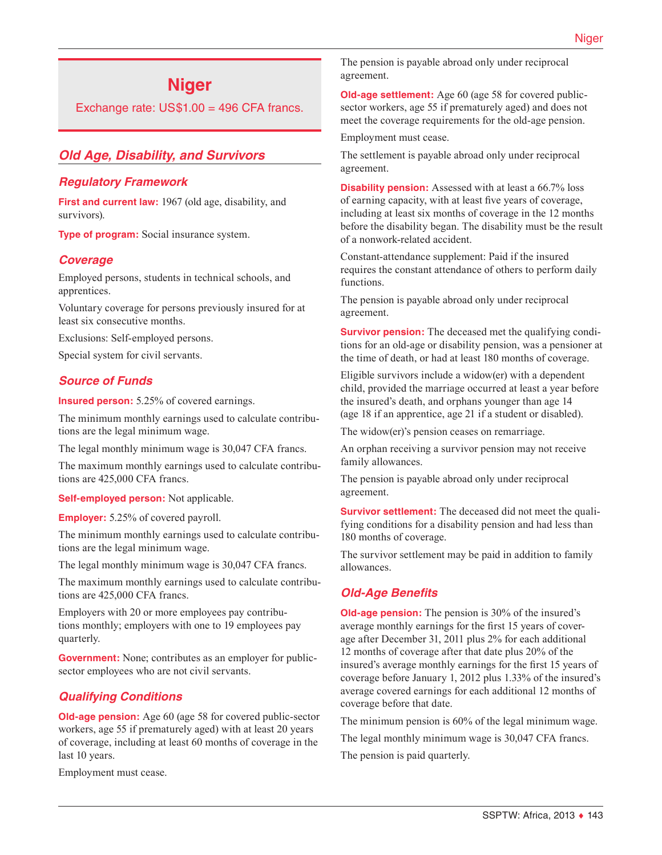# **Niger**

Exchange rate: US\$1.00 = 496 CFA francs.

# *Old Age, Disability, and Survivors*

### *Regulatory Framework*

**First and current law:** 1967 (old age, disability, and survivors).

**Type of program:** Social insurance system.

### *Coverage*

Employed persons, students in technical schools, and apprentices.

Voluntary coverage for persons previously insured for at least six consecutive months.

Exclusions: Self-employed persons.

Special system for civil servants.

# *Source of Funds*

**Insured person:** 5.25% of covered earnings.

The minimum monthly earnings used to calculate contributions are the legal minimum wage.

The legal monthly minimum wage is 30,047 CFA francs.

The maximum monthly earnings used to calculate contributions are 425,000 CFA francs.

**Self-employed person:** Not applicable.

**Employer:** 5.25% of covered payroll.

The minimum monthly earnings used to calculate contributions are the legal minimum wage.

The legal monthly minimum wage is 30,047 CFA francs.

The maximum monthly earnings used to calculate contributions are 425,000 CFA francs.

Employers with 20 or more employees pay contributions monthly; employers with one to 19 employees pay quarterly.

**Government:** None; contributes as an employer for publicsector employees who are not civil servants.

# *Qualifying Conditions*

**Old-age pension:** Age 60 (age 58 for covered public-sector workers, age 55 if prematurely aged) with at least 20 years of coverage, including at least 60 months of coverage in the last 10 years.

Employment must cease.

The pension is payable abroad only under reciprocal agreement.

**Old-age settlement:** Age 60 (age 58 for covered publicsector workers, age 55 if prematurely aged) and does not meet the coverage requirements for the old-age pension.

Employment must cease.

The settlement is payable abroad only under reciprocal agreement.

**Disability pension:** Assessed with at least a 66.7% loss of earning capacity, with at least five years of coverage, including at least six months of coverage in the 12 months before the disability began. The disability must be the result of a nonwork-related accident.

Constant-attendance supplement: Paid if the insured requires the constant attendance of others to perform daily functions.

The pension is payable abroad only under reciprocal agreement.

**Survivor pension:** The deceased met the qualifying conditions for an old-age or disability pension, was a pensioner at the time of death, or had at least 180 months of coverage.

Eligible survivors include a widow(er) with a dependent child, provided the marriage occurred at least a year before the insured's death, and orphans younger than age 14 (age 18 if an apprentice, age 21 if a student or disabled).

The widow(er)'s pension ceases on remarriage.

An orphan receiving a survivor pension may not receive family allowances.

The pension is payable abroad only under reciprocal agreement.

**Survivor settlement:** The deceased did not meet the qualifying conditions for a disability pension and had less than 180 months of coverage.

The survivor settlement may be paid in addition to family allowances.

# *Old-Age Benefits*

**Old-age pension:** The pension is 30% of the insured's average monthly earnings for the first 15 years of coverage after December 31, 2011 plus 2% for each additional 12 months of coverage after that date plus 20% of the insured's average monthly earnings for the first 15 years of coverage before January 1, 2012 plus 1.33% of the insured's average covered earnings for each additional 12 months of coverage before that date.

The minimum pension is 60% of the legal minimum wage.

The legal monthly minimum wage is 30,047 CFA francs.

The pension is paid quarterly.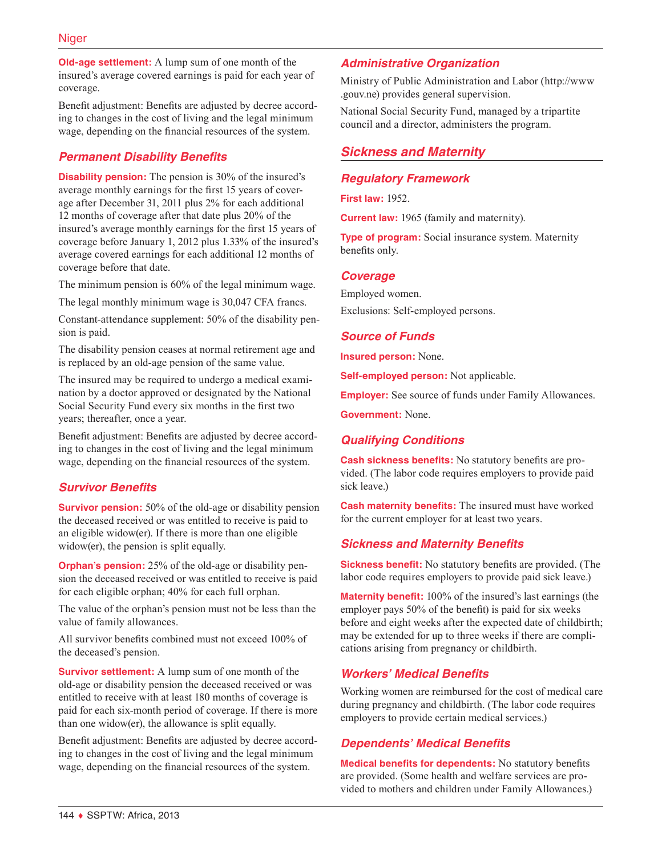**Old-age settlement:** A lump sum of one month of the insured's average covered earnings is paid for each year of coverage.

Benefit adjustment: Benefits are adjusted by decree according to changes in the cost of living and the legal minimum wage, depending on the financial resources of the system.

# *Permanent Disability Benefits*

**Disability pension:** The pension is 30% of the insured's average monthly earnings for the first 15 years of coverage after December 31, 2011 plus 2% for each additional 12 months of coverage after that date plus 20% of the insured's average monthly earnings for the first 15 years of coverage before January 1, 2012 plus 1.33% of the insured's average covered earnings for each additional 12 months of coverage before that date.

The minimum pension is 60% of the legal minimum wage.

The legal monthly minimum wage is 30,047 CFA francs.

Constant-attendance supplement: 50% of the disability pension is paid.

The disability pension ceases at normal retirement age and is replaced by an old-age pension of the same value.

The insured may be required to undergo a medical examination by a doctor approved or designated by the National Social Security Fund every six months in the first two years; thereafter, once a year.

Benefit adjustment: Benefits are adjusted by decree according to changes in the cost of living and the legal minimum wage, depending on the financial resources of the system.

# *Survivor Benefits*

**Survivor pension:** 50% of the old-age or disability pension the deceased received or was entitled to receive is paid to an eligible widow(er). If there is more than one eligible widow(er), the pension is split equally.

**Orphan's pension:** 25% of the old-age or disability pension the deceased received or was entitled to receive is paid for each eligible orphan; 40% for each full orphan.

The value of the orphan's pension must not be less than the value of family allowances.

All survivor benefits combined must not exceed 100% of the deceased's pension.

**Survivor settlement:** A lump sum of one month of the old-age or disability pension the deceased received or was entitled to receive with at least 180 months of coverage is paid for each six-month period of coverage. If there is more than one widow(er), the allowance is split equally.

Benefit adjustment: Benefits are adjusted by decree according to changes in the cost of living and the legal minimum wage, depending on the financial resources of the system.

# *Administrative Organization*

Ministry of Public Administration and Labor ([http://www](http://www.gouv.ne) [.gouv.ne\)](http://www.gouv.ne) provides general supervision.

National Social Security Fund, managed by a tripartite council and a director, administers the program.

# *Sickness and Maternity*

### *Regulatory Framework*

**First law:** 1952.

**Current law:** 1965 (family and maternity).

**Type of program:** Social insurance system. Maternity benefits only.

#### *Coverage*

Employed women. Exclusions: Self-employed persons.

# *Source of Funds*

**Insured person:** None.

**Self-employed person:** Not applicable.

**Employer:** See source of funds under Family Allowances.

**Government:** None.

# *Qualifying Conditions*

**Cash sickness benefits:** No statutory benefits are provided. (The labor code requires employers to provide paid sick leave.)

**Cash maternity benefits:** The insured must have worked for the current employer for at least two years.

# *Sickness and Maternity Benefits*

**Sickness benefit:** No statutory benefits are provided. (The labor code requires employers to provide paid sick leave.)

**Maternity benefit:** 100% of the insured's last earnings (the employer pays 50% of the benefit) is paid for six weeks before and eight weeks after the expected date of childbirth; may be extended for up to three weeks if there are complications arising from pregnancy or childbirth.

# *Workers' Medical Benefits*

Working women are reimbursed for the cost of medical care during pregnancy and childbirth. (The labor code requires employers to provide certain medical services.)

# *Dependents' Medical Benefits*

**Medical benefits for dependents:** No statutory benefits are provided. (Some health and welfare services are provided to mothers and children under Family Allowances.)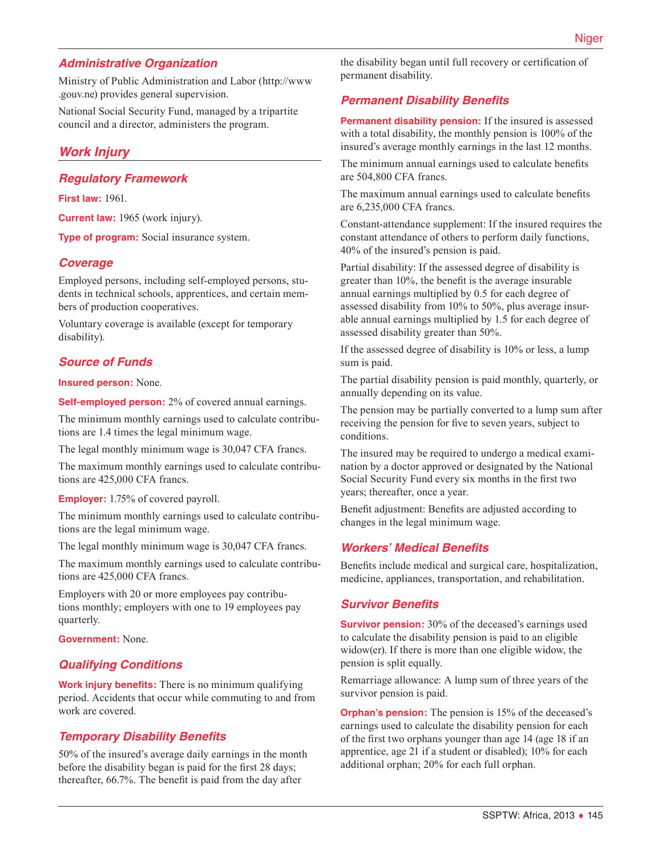# *Administrative Organization*

Ministry of Public Administration and Labor ([http://www](http://www.gouv.ne) [.gouv.ne\)](http://www.gouv.ne) provides general supervision.

National Social Security Fund, managed by a tripartite council and a director, administers the program.

# *Work Injury*

#### *Regulatory Framework*

**First law:** 1961.

**Current law:** 1965 (work injury).

**Type of program:** Social insurance system.

### *Coverage*

Employed persons, including self-employed persons, students in technical schools, apprentices, and certain members of production cooperatives.

Voluntary coverage is available (except for temporary disability).

### *Source of Funds*

#### **Insured person:** None.

**Self-employed person:** 2% of covered annual earnings.

The minimum monthly earnings used to calculate contributions are 1.4 times the legal minimum wage.

The legal monthly minimum wage is 30,047 CFA francs.

The maximum monthly earnings used to calculate contributions are 425,000 CFA francs.

**Employer:** 1.75% of covered payroll.

The minimum monthly earnings used to calculate contributions are the legal minimum wage.

The legal monthly minimum wage is 30,047 CFA francs.

The maximum monthly earnings used to calculate contributions are 425,000 CFA francs.

Employers with 20 or more employees pay contributions monthly; employers with one to 19 employees pay quarterly.

**Government:** None.

#### *Qualifying Conditions*

**Work injury benefits:** There is no minimum qualifying period. Accidents that occur while commuting to and from work are covered.

#### *Temporary Disability Benefits*

50% of the insured's average daily earnings in the month before the disability began is paid for the first 28 days; thereafter, 66.7%. The benefit is paid from the day after

the disability began until full recovery or certification of permanent disability.

### *Permanent Disability Benefits*

**Permanent disability pension:** If the insured is assessed with a total disability, the monthly pension is 100% of the insured's average monthly earnings in the last 12 months.

The minimum annual earnings used to calculate benefits are 504,800 CFA francs.

The maximum annual earnings used to calculate benefits are 6,235,000 CFA francs.

Constant-attendance supplement: If the insured requires the constant attendance of others to perform daily functions, 40% of the insured's pension is paid.

Partial disability: If the assessed degree of disability is greater than 10%, the benefit is the average insurable annual earnings multiplied by 0.5 for each degree of assessed disability from 10% to 50%, plus average insurable annual earnings multiplied by 1.5 for each degree of assessed disability greater than 50%.

If the assessed degree of disability is 10% or less, a lump sum is paid.

The partial disability pension is paid monthly, quarterly, or annually depending on its value.

The pension may be partially converted to a lump sum after receiving the pension for five to seven years, subject to conditions.

The insured may be required to undergo a medical examination by a doctor approved or designated by the National Social Security Fund every six months in the first two years; thereafter, once a year.

Benefit adjustment: Benefits are adjusted according to changes in the legal minimum wage.

#### *Workers' Medical Benefits*

Benefits include medical and surgical care, hospitalization, medicine, appliances, transportation, and rehabilitation.

#### *Survivor Benefits*

**Survivor pension:** 30% of the deceased's earnings used to calculate the disability pension is paid to an eligible widow(er). If there is more than one eligible widow, the pension is split equally.

Remarriage allowance: A lump sum of three years of the survivor pension is paid.

**Orphan's pension:** The pension is 15% of the deceased's earnings used to calculate the disability pension for each of the first two orphans younger than age 14 (age 18 if an apprentice, age 21 if a student or disabled); 10% for each additional orphan; 20% for each full orphan.